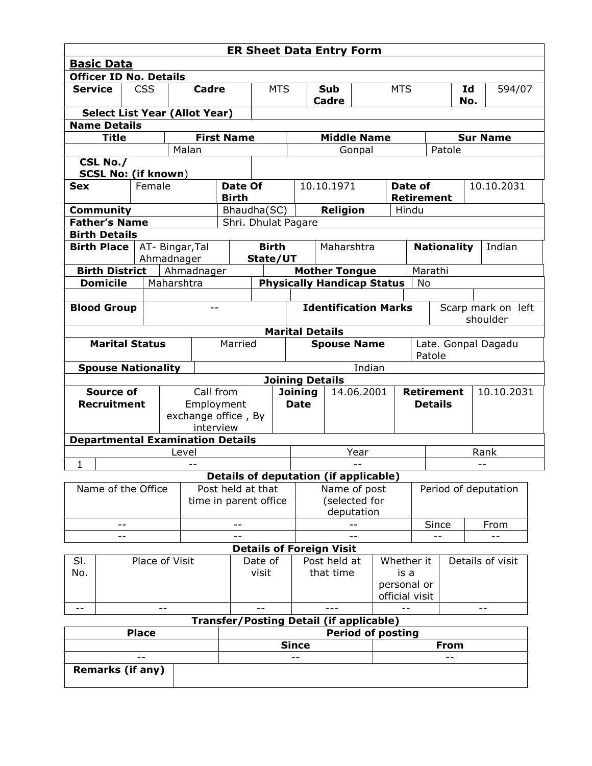| <b>ER Sheet Data Entry Form</b>                                            |                                         |              |                 |                                  |             |                            |                                                              |                                                           |                 |                     |                             |                                |             |            |  |  |
|----------------------------------------------------------------------------|-----------------------------------------|--------------|-----------------|----------------------------------|-------------|----------------------------|--------------------------------------------------------------|-----------------------------------------------------------|-----------------|---------------------|-----------------------------|--------------------------------|-------------|------------|--|--|
| <b>Basic Data</b>                                                          |                                         |              |                 |                                  |             |                            |                                                              |                                                           |                 |                     |                             |                                |             |            |  |  |
| <b>Officer ID No. Details</b>                                              |                                         |              |                 |                                  |             |                            |                                                              |                                                           |                 |                     |                             |                                |             |            |  |  |
| <b>Service</b><br><b>CSS</b>                                               |                                         |              |                 | Cadre                            |             |                            | <b>MTS</b><br>Sub                                            |                                                           |                 | <b>MTS</b>          |                             |                                | Id          | 594/07     |  |  |
|                                                                            |                                         |              |                 |                                  |             |                            | Cadre                                                        |                                                           |                 |                     |                             |                                | No.         |            |  |  |
| <b>Select List Year (Allot Year)</b><br><b>Name Details</b>                |                                         |              |                 |                                  |             |                            |                                                              |                                                           |                 |                     |                             |                                |             |            |  |  |
| <b>First Name</b><br><b>Title</b><br><b>Middle Name</b><br><b>Sur Name</b> |                                         |              |                 |                                  |             |                            |                                                              |                                                           |                 |                     |                             |                                |             |            |  |  |
|                                                                            |                                         |              |                 | Malan                            |             |                            |                                                              | Gonpal                                                    |                 |                     |                             | Patole                         |             |            |  |  |
| CSL No./                                                                   |                                         |              |                 |                                  |             |                            |                                                              |                                                           |                 |                     |                             |                                |             |            |  |  |
| <b>SCSL No: (if known)</b>                                                 |                                         |              |                 |                                  |             |                            |                                                              |                                                           |                 |                     |                             |                                |             |            |  |  |
| Female<br><b>Sex</b>                                                       |                                         |              |                 | Date Of                          |             |                            | 10.10.1971                                                   |                                                           |                 |                     | Date of                     |                                |             | 10.10.2031 |  |  |
|                                                                            |                                         |              |                 | <b>Birth</b>                     |             |                            |                                                              |                                                           |                 |                     |                             | <b>Retirement</b>              |             |            |  |  |
|                                                                            | <b>Community</b>                        |              |                 |                                  | Bhaudha(SC) |                            |                                                              |                                                           | <b>Religion</b> |                     |                             | Hindu                          |             |            |  |  |
| <b>Father's Name</b><br>Shri. Dhulat Pagare                                |                                         |              |                 |                                  |             |                            |                                                              |                                                           |                 |                     |                             |                                |             |            |  |  |
| <b>Birth Details</b>                                                       |                                         |              |                 |                                  |             |                            |                                                              |                                                           |                 |                     |                             |                                |             |            |  |  |
| <b>Birth Place</b>                                                         |                                         |              | AT- Bingar, Tal |                                  |             | <b>Birth</b><br>Maharshtra |                                                              |                                                           |                 | <b>Nationality</b>  |                             |                                |             | Indian     |  |  |
|                                                                            |                                         |              |                 | Ahmadnager                       |             |                            | State/UT                                                     |                                                           |                 |                     |                             |                                |             |            |  |  |
| <b>Birth District</b><br><b>Domicile</b>                                   |                                         |              |                 | Ahmadnager<br>Maharshtra         |             |                            |                                                              | <b>Mother Tongue</b><br><b>Physically Handicap Status</b> |                 |                     |                             |                                | Marathi     |            |  |  |
|                                                                            |                                         |              |                 |                                  |             |                            |                                                              |                                                           |                 |                     |                             |                                | No          |            |  |  |
|                                                                            | <b>Blood Group</b>                      |              |                 | $-$                              |             |                            |                                                              |                                                           |                 |                     | <b>Identification Marks</b> |                                |             |            |  |  |
|                                                                            |                                         |              |                 |                                  |             |                            |                                                              |                                                           |                 |                     |                             | Scarp mark on left<br>shoulder |             |            |  |  |
|                                                                            |                                         |              |                 |                                  |             |                            |                                                              | <b>Marital Details</b>                                    |                 |                     |                             |                                |             |            |  |  |
|                                                                            | <b>Marital Status</b>                   |              |                 |                                  | Married     | <b>Spouse Name</b>         |                                                              |                                                           |                 |                     | Late. Gonpal Dagadu         |                                |             |            |  |  |
|                                                                            |                                         |              |                 |                                  |             |                            |                                                              |                                                           |                 |                     | Patole                      |                                |             |            |  |  |
|                                                                            | <b>Spouse Nationality</b>               |              |                 |                                  |             |                            |                                                              |                                                           |                 | Indian              |                             |                                |             |            |  |  |
|                                                                            |                                         |              |                 |                                  |             |                            |                                                              | <b>Joining Details</b>                                    |                 |                     |                             |                                |             |            |  |  |
|                                                                            | <b>Source of</b>                        |              | Call from       |                                  |             | <b>Joining</b>             |                                                              |                                                           | 14.06.2001      |                     | <b>Retirement</b>           |                                |             | 10.10.2031 |  |  |
|                                                                            | <b>Recruitment</b>                      |              |                 | Employment                       |             |                            | <b>Date</b>                                                  |                                                           |                 | <b>Details</b>      |                             |                                |             |            |  |  |
|                                                                            |                                         |              |                 | exchange office, By<br>interview |             |                            |                                                              |                                                           |                 |                     |                             |                                |             |            |  |  |
|                                                                            | <b>Departmental Examination Details</b> |              |                 |                                  |             |                            |                                                              |                                                           |                 |                     |                             |                                |             |            |  |  |
|                                                                            |                                         |              |                 |                                  |             |                            |                                                              |                                                           |                 |                     |                             |                                |             |            |  |  |
| Rank<br>Level<br>Year<br>$\mathbf{1}$                                      |                                         |              |                 |                                  |             |                            |                                                              |                                                           |                 |                     |                             |                                |             |            |  |  |
|                                                                            |                                         |              |                 |                                  |             |                            |                                                              |                                                           |                 |                     |                             |                                |             |            |  |  |
| Name of the Office                                                         |                                         |              |                 | Post held at that                |             |                            | <b>Details of deputation (if applicable)</b><br>Name of post |                                                           |                 |                     | Period of deputation        |                                |             |            |  |  |
|                                                                            |                                         |              |                 | time in parent office            |             |                            |                                                              | (selected for                                             |                 |                     |                             |                                |             |            |  |  |
|                                                                            |                                         |              |                 |                                  |             |                            |                                                              | deputation                                                |                 |                     |                             |                                |             |            |  |  |
| --                                                                         |                                         |              |                 |                                  |             |                            |                                                              |                                                           |                 |                     | Since                       |                                | From        |            |  |  |
| --                                                                         |                                         |              |                 |                                  |             |                            |                                                              |                                                           |                 |                     | --                          |                                |             |            |  |  |
|                                                                            |                                         |              |                 |                                  |             |                            |                                                              | <b>Details of Foreign Visit</b>                           |                 |                     |                             |                                |             |            |  |  |
| Place of Visit<br>SI.                                                      |                                         |              |                 | Date of                          |             |                            | Post held at                                                 |                                                           |                 | Whether it          |                             | Details of visit               |             |            |  |  |
| No.                                                                        |                                         |              |                 | visit                            |             |                            |                                                              | that time                                                 |                 | is a<br>personal or |                             |                                |             |            |  |  |
|                                                                            |                                         |              |                 |                                  |             |                            |                                                              |                                                           |                 |                     |                             | official visit                 |             |            |  |  |
| $- -$<br>$-$<br>---<br>$- -$<br>$- -$                                      |                                         |              |                 |                                  |             |                            |                                                              |                                                           |                 |                     |                             |                                |             |            |  |  |
| <b>Transfer/Posting Detail (if applicable)</b>                             |                                         |              |                 |                                  |             |                            |                                                              |                                                           |                 |                     |                             |                                |             |            |  |  |
|                                                                            |                                         | <b>Place</b> |                 |                                  |             |                            |                                                              |                                                           |                 |                     | <b>Period of posting</b>    |                                |             |            |  |  |
|                                                                            |                                         |              |                 |                                  |             |                            |                                                              | <b>Since</b>                                              |                 |                     |                             |                                | <b>From</b> |            |  |  |
|                                                                            |                                         |              |                 |                                  |             |                            |                                                              |                                                           |                 |                     |                             |                                |             |            |  |  |
| <b>Remarks (if any)</b>                                                    |                                         |              |                 |                                  |             |                            |                                                              |                                                           |                 |                     |                             |                                |             |            |  |  |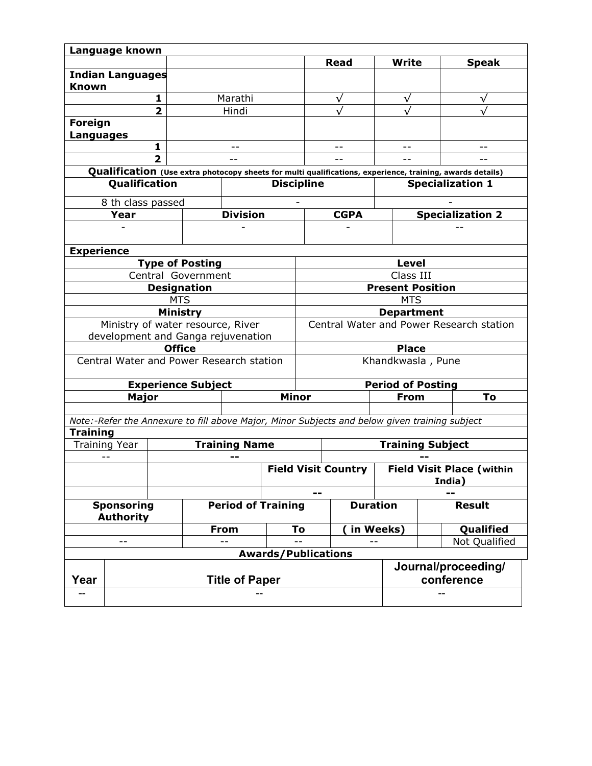|                                                                                                           | Language known                                                |                    |                           |                      |                                          |                   |                            |                                            |                  |                     |  |  |  |
|-----------------------------------------------------------------------------------------------------------|---------------------------------------------------------------|--------------------|---------------------------|----------------------|------------------------------------------|-------------------|----------------------------|--------------------------------------------|------------------|---------------------|--|--|--|
|                                                                                                           |                                                               |                    |                           |                      |                                          | <b>Read</b>       |                            | <b>Write</b>                               |                  | <b>Speak</b>        |  |  |  |
| <b>Known</b>                                                                                              | <b>Indian Languages</b>                                       |                    |                           |                      |                                          |                   |                            |                                            |                  |                     |  |  |  |
|                                                                                                           | 1                                                             |                    |                           | Marathi              |                                          |                   | $\checkmark$               | √                                          |                  |                     |  |  |  |
| $\overline{2}$                                                                                            |                                                               |                    |                           | Hindi                |                                          |                   | $\sqrt{}$                  |                                            |                  |                     |  |  |  |
| Foreign<br><b>Languages</b>                                                                               |                                                               |                    |                           |                      |                                          |                   |                            |                                            |                  |                     |  |  |  |
|                                                                                                           |                                                               | 1                  |                           |                      |                                          |                   |                            |                                            |                  |                     |  |  |  |
|                                                                                                           |                                                               | $\overline{2}$     |                           | $-$                  |                                          | $-$               |                            | $=$ $-$                                    |                  |                     |  |  |  |
| Qualification (Use extra photocopy sheets for multi qualifications, experience, training, awards details) |                                                               |                    |                           |                      |                                          |                   |                            |                                            |                  |                     |  |  |  |
|                                                                                                           | Qualification                                                 |                    |                           |                      | <b>Discipline</b>                        |                   |                            | <b>Specialization 1</b>                    |                  |                     |  |  |  |
|                                                                                                           | 8 th class passed                                             |                    |                           |                      |                                          |                   |                            |                                            |                  |                     |  |  |  |
|                                                                                                           | Year                                                          |                    | <b>Division</b>           |                      |                                          |                   | <b>CGPA</b>                |                                            | Specialization 2 |                     |  |  |  |
|                                                                                                           |                                                               |                    |                           |                      |                                          |                   |                            |                                            |                  |                     |  |  |  |
|                                                                                                           |                                                               |                    |                           |                      |                                          |                   |                            |                                            |                  |                     |  |  |  |
| <b>Experience</b><br><b>Type of Posting</b>                                                               |                                                               |                    |                           |                      |                                          |                   |                            |                                            |                  |                     |  |  |  |
|                                                                                                           |                                                               |                    | Central Government        |                      |                                          |                   |                            | Level<br>Class III                         |                  |                     |  |  |  |
|                                                                                                           |                                                               | <b>Designation</b> |                           |                      |                                          |                   |                            | <b>Present Position</b>                    |                  |                     |  |  |  |
|                                                                                                           |                                                               | <b>MTS</b>         |                           |                      |                                          |                   |                            | <b>MTS</b>                                 |                  |                     |  |  |  |
|                                                                                                           |                                                               | Ministry           |                           |                      |                                          | <b>Department</b> |                            |                                            |                  |                     |  |  |  |
|                                                                                                           |                                                               |                    |                           |                      | Central Water and Power Research station |                   |                            |                                            |                  |                     |  |  |  |
| Ministry of water resource, River<br>development and Ganga rejuvenation                                   |                                                               |                    |                           |                      |                                          |                   |                            |                                            |                  |                     |  |  |  |
|                                                                                                           |                                                               | <b>Office</b>      |                           |                      |                                          |                   |                            | <b>Place</b>                               |                  |                     |  |  |  |
|                                                                                                           | Central Water and Power Research station<br>Khandkwasla, Pune |                    |                           |                      |                                          |                   |                            |                                            |                  |                     |  |  |  |
|                                                                                                           |                                                               |                    | <b>Experience Subject</b> |                      |                                          |                   |                            | <b>Period of Posting</b>                   |                  |                     |  |  |  |
|                                                                                                           | <b>Major</b>                                                  |                    |                           | <b>Minor</b>         |                                          |                   |                            | To<br><b>From</b>                          |                  |                     |  |  |  |
|                                                                                                           |                                                               |                    |                           |                      |                                          |                   |                            |                                            |                  |                     |  |  |  |
| Note:-Refer the Annexure to fill above Major, Minor Subjects and below given training subject             |                                                               |                    |                           |                      |                                          |                   |                            |                                            |                  |                     |  |  |  |
| <b>Training</b>                                                                                           |                                                               |                    |                           |                      |                                          |                   |                            |                                            |                  |                     |  |  |  |
|                                                                                                           | Training Year                                                 |                    |                           | <b>Training Name</b> |                                          |                   |                            | <b>Training Subject</b>                    |                  |                     |  |  |  |
| $-$                                                                                                       |                                                               |                    |                           | --                   |                                          |                   |                            |                                            |                  |                     |  |  |  |
|                                                                                                           |                                                               |                    |                           |                      |                                          |                   | <b>Field Visit Country</b> | <b>Field Visit Place (within</b><br>India) |                  |                     |  |  |  |
|                                                                                                           |                                                               |                    |                           |                      |                                          |                   |                            |                                            |                  |                     |  |  |  |
|                                                                                                           | <b>Sponsoring</b><br><b>Authority</b>                         |                    |                           |                      | <b>Period of Training</b>                | <b>Duration</b>   |                            |                                            |                  | <b>Result</b>       |  |  |  |
|                                                                                                           |                                                               |                    | <b>From</b>               |                      | To                                       |                   | in Weeks)                  |                                            | Qualified        |                     |  |  |  |
|                                                                                                           |                                                               |                    |                           |                      |                                          |                   |                            | Not Qualified                              |                  |                     |  |  |  |
|                                                                                                           |                                                               |                    |                           |                      | <b>Awards/Publications</b>               |                   |                            |                                            |                  |                     |  |  |  |
|                                                                                                           |                                                               |                    |                           |                      |                                          |                   |                            |                                            |                  | Journal/proceeding/ |  |  |  |
| Year                                                                                                      | <b>Title of Paper</b>                                         |                    |                           |                      |                                          |                   | conference                 |                                            |                  |                     |  |  |  |
|                                                                                                           |                                                               |                    |                           |                      |                                          |                   |                            |                                            |                  |                     |  |  |  |
|                                                                                                           |                                                               |                    |                           |                      |                                          |                   |                            |                                            |                  |                     |  |  |  |